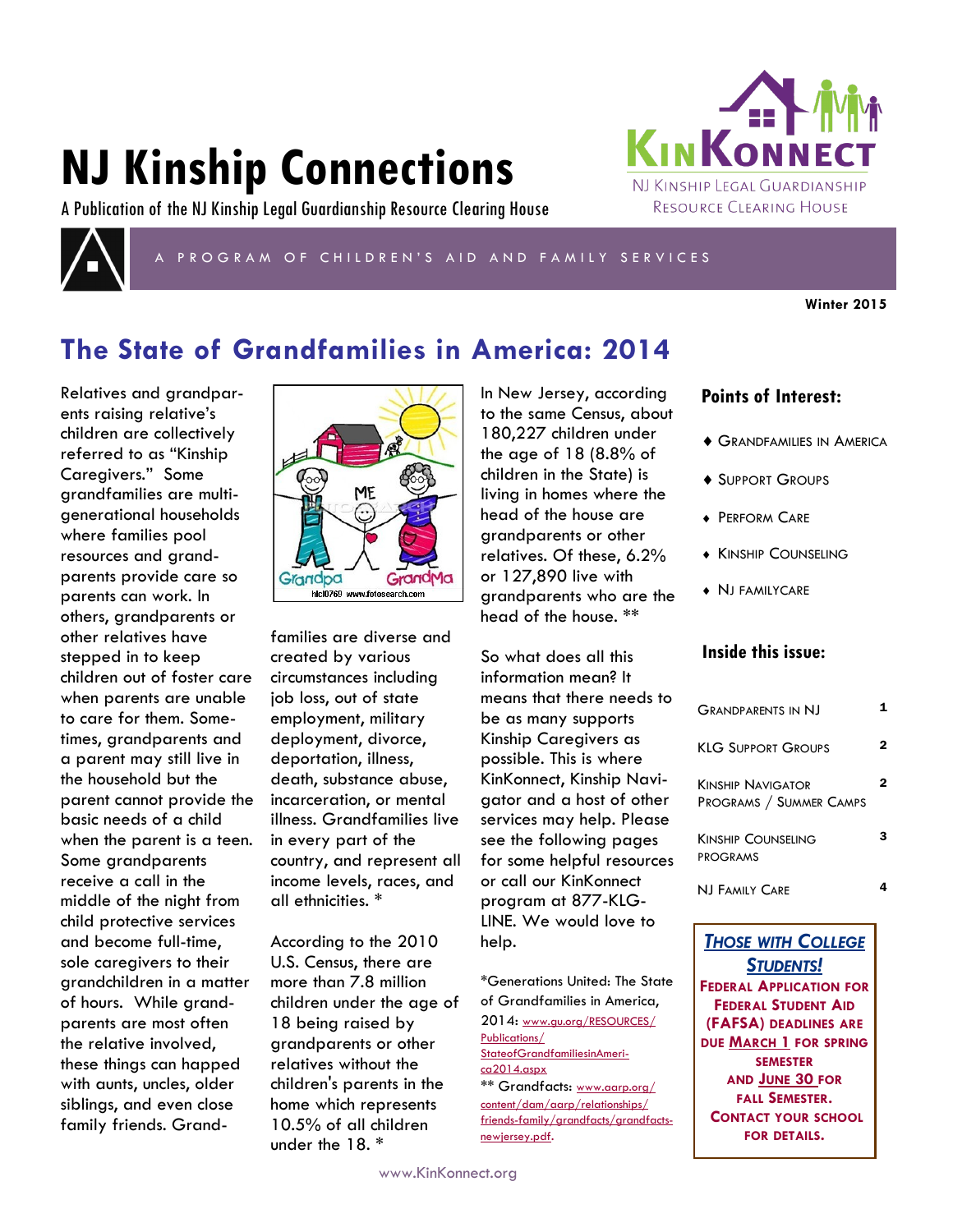# **NJ Kinship Connections**





## P R O G R A M O F C H I L D R E N ' S A I D A N D F A M I L Y S E R V I C E S

**Winter 2015**

# **The State of Grandfamilies in America: 2014**

Relatives and grandparents raising relative's children are collectively referred to as "Kinship Caregivers." Some grandfamilies are multigenerational households where families pool resources and grandparents provide care so parents can work. In others, grandparents or other relatives have stepped in to keep children out of foster care when parents are unable to care for them. Sometimes, grandparents and a parent may still live in the household but the parent cannot provide the basic needs of a child when the parent is a teen. Some grandparents receive a call in the middle of the night from child protective services and become full-time, sole caregivers to their grandchildren in a matter of hours. While grandparents are most often the relative involved, these things can happed with aunts, uncles, older siblings, and even close family friends. Grand-



families are diverse and created by various circumstances including job loss, out of state employment, military deployment, divorce, deportation, illness, death, substance abuse, incarceration, or mental illness. Grandfamilies live in every part of the country, and represent all income levels, races, and all ethnicities. \*

According to the 2010 U.S. Census, there are more than 7.8 million children under the age of 18 being raised by grandparents or other relatives without the children's parents in the home which represents 10.5% of all children under the 18. \*

In New Jersey, according to the same Census, about 180,227 children under the age of 18 (8.8% of children in the State) is living in homes where the head of the house are grandparents or other relatives. Of these, 6.2% or 127,890 live with grandparents who are the head of the house. \*\*

So what does all this information mean? It means that there needs to be as many supports Kinship Caregivers as possible. This is where KinKonnect, Kinship Navigator and a host of other services may help. Please see the following pages for some helpful resources or call our KinKonnect program at 877-KLG-LINE. We would love to help.

\*Generations United: The State of Grandfamilies in America, 2014: [www.gu.org/RESOURCES/](http://www.gu.org/RESOURCES/Publications/StateofGrandfamiliesinAmerica2014.aspx) [Publications/](http://www.gu.org/RESOURCES/Publications/StateofGrandfamiliesinAmerica2014.aspx) [StateofGrandfamiliesinAmeri](http://www.gu.org/RESOURCES/Publications/StateofGrandfamiliesinAmerica2014.aspx)[ca2014.aspx](http://www.gu.org/RESOURCES/Publications/StateofGrandfamiliesinAmerica2014.aspx) \*\* Grandfacts: [www.aarp.org/](http://www.aarp.org/content/dam/aarp/relationships/friends-family/grandfacts/grandfacts-newjersey.pdf) [content/dam/aarp/relationships/](http://www.aarp.org/content/dam/aarp/relationships/friends-family/grandfacts/grandfacts-newjersey.pdf) [friends-family/grandfacts/grandfacts](http://www.aarp.org/content/dam/aarp/relationships/friends-family/grandfacts/grandfacts-newjersey.pdf)[newjersey.pdf](http://www.aarp.org/content/dam/aarp/relationships/friends-family/grandfacts/grandfacts-newjersey.pdf).

## **Points of Interest:**

**KINKONN** 

NJ KINSHIP LEGAL GUARDIANSHIP RESOURCE CLEARING HOUSE

- GRANDFAMILIES IN AMERICA
- ◆ SUPPORT GROUPS
- **+ PERFORM CARE**
- **KINSHIP COUNSELING**
- NJ FAMILYCARE

## **Inside this issue:**

| GRANDPARENTS IN NI                                  |   |
|-----------------------------------------------------|---|
| KLG SUPPORT GROUPS                                  | 2 |
| <b>KINSHIP NAVIGATOR</b><br>PROGRAMS / SUMMER CAMPS | 2 |
| <b>KINSHIP COUNSELING</b><br><b>PROGRAMS</b>        |   |
| NI FAMILY CARE                                      |   |

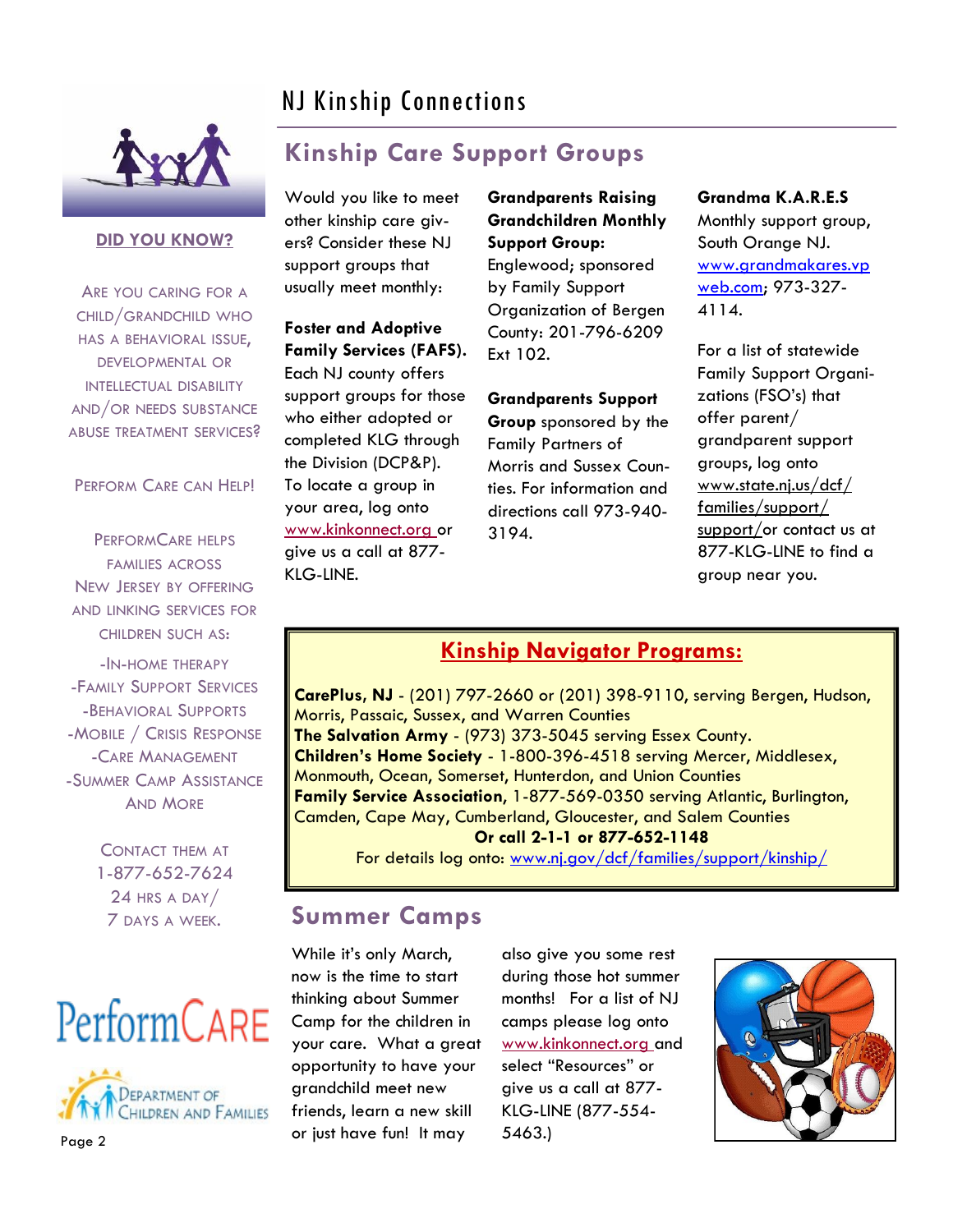# NJ Kinship Connections



## **DID YOU KNOW?**

ARE YOU CARING FOR A CHILD/GRANDCHILD WHO HAS A BEHAVIORAL ISSUE, DEVELOPMENTAL OR INTELLECTUAL DISABILITY AND/OR NEEDS SUBSTANCE ABUSE TREATMENT SERVICES?

## PERFORM CARE CAN HELP!

PERFORMCARE HELPS FAMILIES ACROSS NEW JERSEY BY OFFERING AND LINKING SERVICES FOR CHILDREN SUCH AS:

-IN-HOME THERAPY -FAMILY SUPPORT SERVICES -BEHAVIORAL SUPPORTS -MOBILE / CRISIS RESPONSE -CARE MANAGEMENT -SUMMER CAMP ASSISTANCE AND MORE

> CONTACT THEM AT 1-877-652-7624 24 HRS A DAY/ 7 DAYS A WEEK.





# **Kinship Care Support Groups**

Would you like to meet other kinship care givers? Consider these NJ support groups that usually meet monthly:

## **Foster and Adoptive Family Services (FAFS).**

Each NJ county offers support groups for those who either adopted or completed KLG through the Division (DCP&P). To locate a group in your area, log onto www.kinkonnect.org or give us a call at 877- KLG-LINE.

**Grandparents Raising Grandchildren Monthly Support Group:**  Englewood; sponsored by Family Support Organization of Bergen County: 201-796-6209 Ext 102.

**Grandparents Support** 

**Group** sponsored by the Family Partners of Morris and Sussex Counties. For information and directions call 973-940- 3194.

**Grandma K.A.R.E.S** Monthly support group, South Orange NJ. [www.grandmakares.vp](http://www.grandmakares.vpweb.com) [web.com;](http://www.grandmakares.vpweb.com) 973-327- 4114.

For a list of statewide Family Support Organizations (FSO's) that offer parent/ grandparent support groups, log onto www.state.nj.us/dcf/ families/support/ support/or contact us at 877-KLG-LINE to find a group near you.

## **Kinship Navigator Programs:**

**CarePlus, NJ** - (201) 797-2660 or (201) 398-9110, serving Bergen, Hudson, Morris, Passaic, Sussex, and Warren Counties **The Salvation Army** - (973) 373-5045 serving Essex County. **Children's Home Society** - 1-800-396-4518 serving Mercer, Middlesex, Monmouth, Ocean, Somerset, Hunterdon, and Union Counties **Family Service Association**, 1-877-569-0350 serving Atlantic, Burlington, Camden, Cape May, Cumberland, Gloucester, and Salem Counties **Or call 2-1-1 or 877-652-1148**

For details log onto: www.nj.gov/dcf/families/support/kinship/

## **Summer Camps**

While it's only March, now is the time to start thinking about Summer Camp for the children in your care. What a great opportunity to have your grandchild meet new friends, learn a new skill or just have fun! It may

also give you some rest during those hot summer months! For a list of NJ camps please log onto www.kinkonnect.org and select "Resources" or give us a call at 877- KLG-LINE (877-554- 5463.)

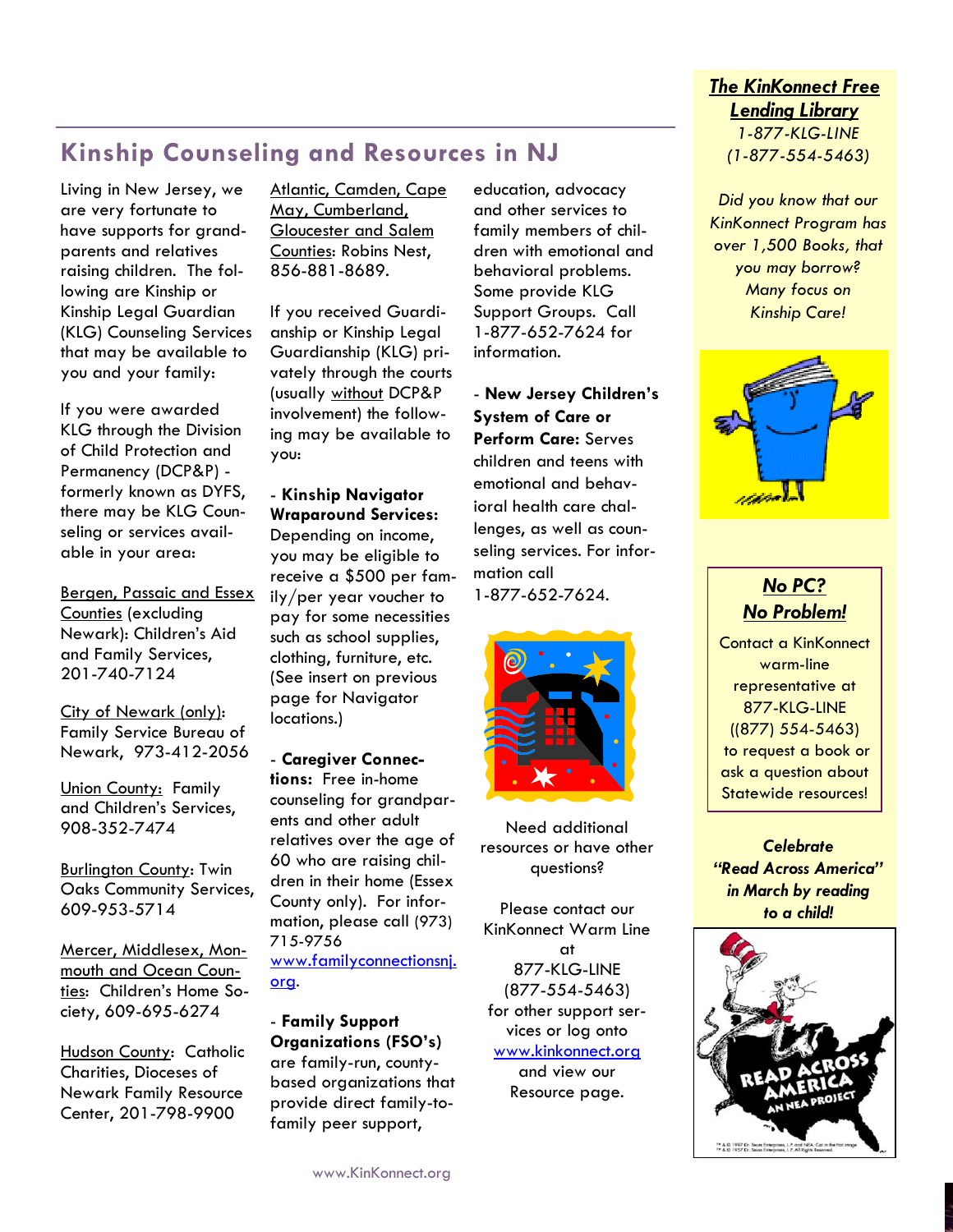## **Kinship Counseling and Resources in NJ**

Living in New Jersey, we are very fortunate to have supports for grandparents and relatives raising children. The following are Kinship or Kinship Legal Guardian (KLG) Counseling Services that may be available to you and your family:

If you were awarded KLG through the Division of Child Protection and Permanency (DCP&P) formerly known as DYFS, there may be KLG Counseling or services available in your area:

Bergen, Passaic and Essex Counties (excluding Newark): Children's Aid and Family Services, 201-740-7124

City of Newark (only): Family Service Bureau of Newark, 973-412-2056

Union County: Family and Children's Services, 908-352-7474

Burlington County: Twin Oaks Community Services, 609-953-5714

Mercer, Middlesex, Monmouth and Ocean Counties: Children's Home Society, 609-695-6274

Hudson County: Catholic Charities, Dioceses of Newark Family Resource Center, 201-798-9900

Atlantic, Camden, Cape May, Cumberland, Gloucester and Salem Counties: Robins Nest, 856-881-8689.

If you received Guardianship or Kinship Legal Guardianship (KLG) privately through the courts (usually without DCP&P involvement) the following may be available to you:

- **Kinship Navigator Wraparound Services:**  Depending on income, you may be eligible to receive a \$500 per family/per year voucher to pay for some necessities such as school supplies, clothing, furniture, etc. (See insert on previous page for Navigator locations.)

- **Caregiver Connections:** Free in-home counseling for grandparents and other adult relatives over the age of 60 who are raising children in their home (Essex County only). For information, please call (973) 715-9756 [www.familyconnectionsnj.](http://www.familyconnectionsnj.org/) [org](http://www.familyconnectionsnj.org/).

- **Family Support Organizations (FSO's)**  are family-run, countybased organizations that provide direct family-tofamily peer support,

education, advocacy and other services to family members of children with emotional and behavioral problems. Some provide KLG Support Groups. Call 1-877-652-7624 for information.

- **New Jersey Children's System of Care or Perform Care:** Serves children and teens with emotional and behavioral health care challenges, as well as counseling services. For information call 1-877-652-7624.





Need additional resources or have other questions?

Please contact our KinKonnect Warm Line at 877-KLG-LINE (877-554-5463) for other support services or log onto www.kinkonnect.org and view our Resource page.

## *The KinKonnect Free Lending Library 1-877-KLG-LINE*

*(1-877-554-5463)*

*Did you know that our KinKonnect Program has over 1,500 Books, that you may borrow? Many focus on Kinship Care!*



## *No PC? No Problem!*

Contact a KinKonnect warm-line representative at 877-KLG-LINE ((877) 554-5463) to request a book or ask a question about Statewide resources!

*Celebrate "Read Across America" in March by reading to a child!*